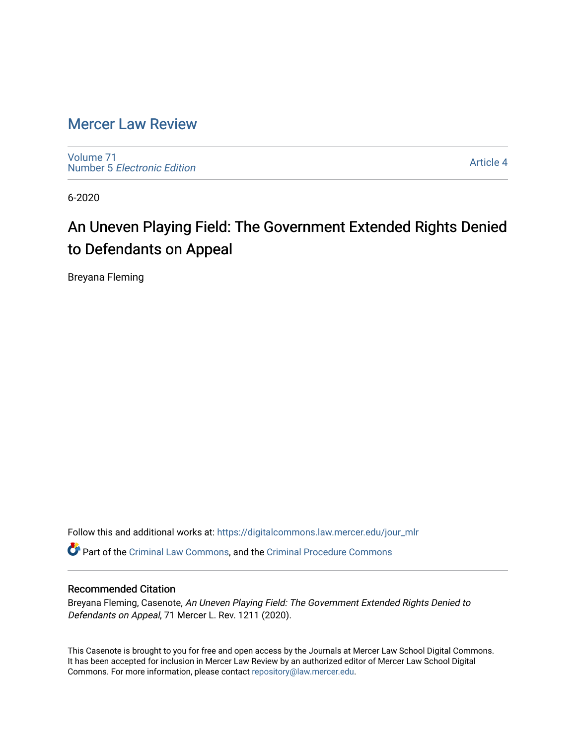# [Mercer Law Review](https://digitalcommons.law.mercer.edu/jour_mlr)

[Volume 71](https://digitalcommons.law.mercer.edu/jour_mlr/vol71) Number 5 [Electronic Edition](https://digitalcommons.law.mercer.edu/jour_mlr/vol71/iss5) 

[Article 4](https://digitalcommons.law.mercer.edu/jour_mlr/vol71/iss5/4) 

6-2020

# An Uneven Playing Field: The Government Extended Rights Denied to Defendants on Appeal

Breyana Fleming

Follow this and additional works at: [https://digitalcommons.law.mercer.edu/jour\\_mlr](https://digitalcommons.law.mercer.edu/jour_mlr?utm_source=digitalcommons.law.mercer.edu%2Fjour_mlr%2Fvol71%2Fiss5%2F4&utm_medium=PDF&utm_campaign=PDFCoverPages)

Part of the [Criminal Law Commons,](http://network.bepress.com/hgg/discipline/912?utm_source=digitalcommons.law.mercer.edu%2Fjour_mlr%2Fvol71%2Fiss5%2F4&utm_medium=PDF&utm_campaign=PDFCoverPages) and the [Criminal Procedure Commons](http://network.bepress.com/hgg/discipline/1073?utm_source=digitalcommons.law.mercer.edu%2Fjour_mlr%2Fvol71%2Fiss5%2F4&utm_medium=PDF&utm_campaign=PDFCoverPages)

# Recommended Citation

Breyana Fleming, Casenote, An Uneven Playing Field: The Government Extended Rights Denied to Defendants on Appeal, 71 Mercer L. Rev. 1211 (2020).

This Casenote is brought to you for free and open access by the Journals at Mercer Law School Digital Commons. It has been accepted for inclusion in Mercer Law Review by an authorized editor of Mercer Law School Digital Commons. For more information, please contact [repository@law.mercer.edu.](mailto:repository@law.mercer.edu)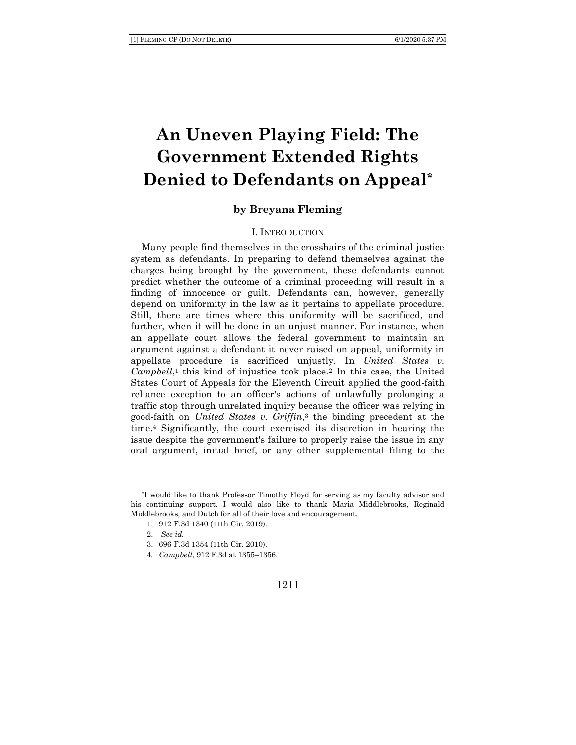# **An Uneven Playing Field: The Government Extended Rights Denied to Defendants on Appeal\***

# **by Breyana Fleming**

#### I. INTRODUCTION

Many people find themselves in the crosshairs of the criminal justice system as defendants. In preparing to defend themselves against the charges being brought by the government, these defendants cannot predict whether the outcome of a criminal proceeding will result in a finding of innocence or guilt. Defendants can, however, generally depend on uniformity in the law as it pertains to appellate procedure. Still, there are times where this uniformity will be sacrificed, and further, when it will be done in an unjust manner. For instance, when an appellate court allows the federal government to maintain an argument against a defendant it never raised on appeal, uniformity in appellate procedure is sacrificed unjustly. In *United States v.*  Campbell,<sup>1</sup> this kind of injustice took place.<sup>2</sup> In this case, the United States Court of Appeals for the Eleventh Circuit applied the good-faith reliance exception to an officer's actions of unlawfully prolonging a traffic stop through unrelated inquiry because the officer was relying in good-faith on *United States v. Griffin*, <sup>3</sup> the binding precedent at the time.<sup>4</sup> Significantly, the court exercised its discretion in hearing the issue despite the government's failure to properly raise the issue in any oral argument, initial brief, or any other supplemental filing to the

<sup>\*</sup>I would like to thank Professor Timothy Floyd for serving as my faculty advisor and his continuing support. I would also like to thank Maria Middlebrooks, Reginald Middlebrooks, and Dutch for all of their love and encouragement.

<sup>1.</sup> 912 F.3d 1340 (11th Cir. 2019).

<sup>2.</sup> *See id.*

<sup>3.</sup> 696 F.3d 1354 (11th Cir. 2010).

<sup>4</sup>*. Campbell*, 912 F.3d at 1355–1356.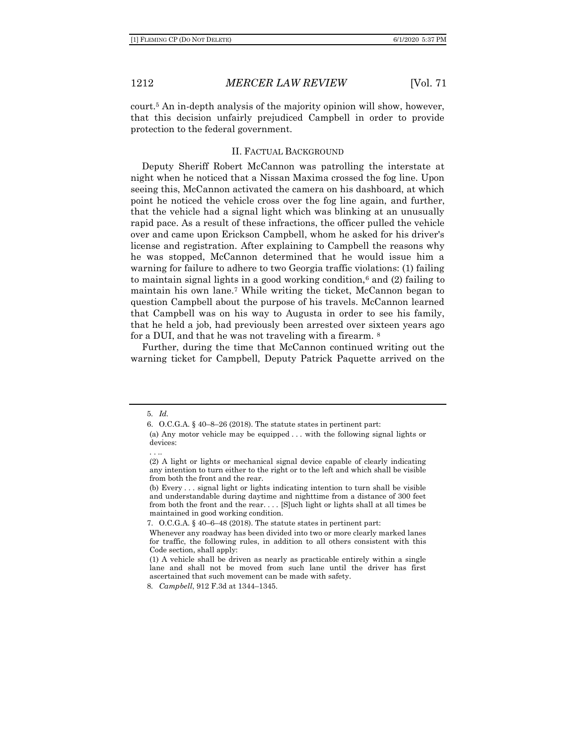court.<sup>5</sup> An in-depth analysis of the majority opinion will show, however, that this decision unfairly prejudiced Campbell in order to provide protection to the federal government.

#### II. FACTUAL BACKGROUND

Deputy Sheriff Robert McCannon was patrolling the interstate at night when he noticed that a Nissan Maxima crossed the fog line. Upon seeing this, McCannon activated the camera on his dashboard, at which point he noticed the vehicle cross over the fog line again, and further, that the vehicle had a signal light which was blinking at an unusually rapid pace. As a result of these infractions, the officer pulled the vehicle over and came upon Erickson Campbell, whom he asked for his driver's license and registration. After explaining to Campbell the reasons why he was stopped, McCannon determined that he would issue him a warning for failure to adhere to two Georgia traffic violations: (1) failing to maintain signal lights in a good working condition,<sup>6</sup> and  $(2)$  failing to maintain his own lane.<sup>7</sup> While writing the ticket, McCannon began to question Campbell about the purpose of his travels. McCannon learned that Campbell was on his way to Augusta in order to see his family, that he held a job, had previously been arrested over sixteen years ago for a DUI, and that he was not traveling with a firearm. <sup>8</sup>

Further, during the time that McCannon continued writing out the warning ticket for Campbell, Deputy Patrick Paquette arrived on the

. . ..

<sup>5</sup>*. Id.* 

<sup>6.</sup> O.C.G.A. § 40–8–26 (2018). The statute states in pertinent part:

<sup>(</sup>a) Any motor vehicle may be equipped . . . with the following signal lights or devices:

<sup>(2)</sup> A light or lights or mechanical signal device capable of clearly indicating any intention to turn either to the right or to the left and which shall be visible from both the front and the rear.

<sup>(</sup>b) Every . . . signal light or lights indicating intention to turn shall be visible and understandable during daytime and nighttime from a distance of 300 feet from both the front and the rear. . . . [S]uch light or lights shall at all times be maintained in good working condition.

<sup>7.</sup> O.C.G.A. § 40–6–48 (2018). The statute states in pertinent part:

Whenever any roadway has been divided into two or more clearly marked lanes for traffic, the following rules, in addition to all others consistent with this Code section, shall apply:

<sup>(1)</sup> A vehicle shall be driven as nearly as practicable entirely within a single lane and shall not be moved from such lane until the driver has first ascertained that such movement can be made with safety.

<sup>8</sup>*. Campbell*, 912 F.3d at 1344–1345.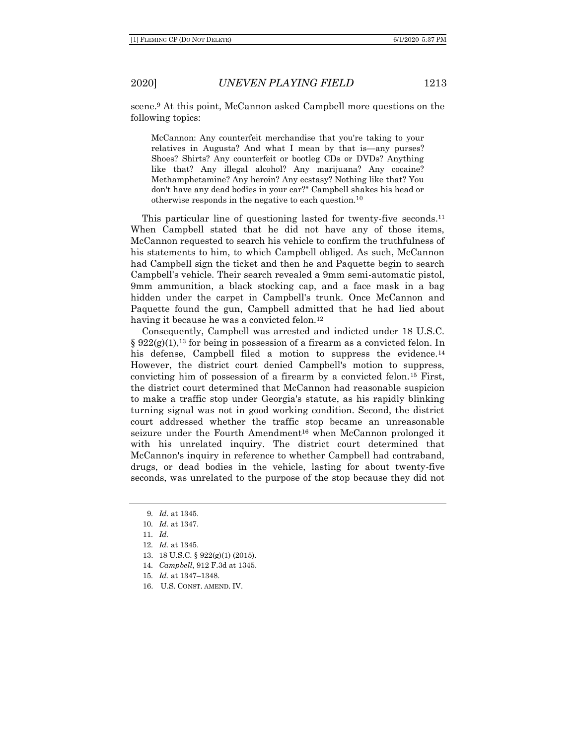scene.<sup>9</sup> At this point, McCannon asked Campbell more questions on the following topics:

McCannon: Any counterfeit merchandise that you're taking to your relatives in Augusta? And what I mean by that is—any purses? Shoes? Shirts? Any counterfeit or bootleg CDs or DVDs? Anything like that? Any illegal alcohol? Any marijuana? Any cocaine? Methamphetamine? Any heroin? Any ecstasy? Nothing like that? You don't have any dead bodies in your car?" Campbell shakes his head or otherwise responds in the negative to each question.<sup>10</sup>

This particular line of questioning lasted for twenty-five seconds.<sup>11</sup> When Campbell stated that he did not have any of those items, McCannon requested to search his vehicle to confirm the truthfulness of his statements to him, to which Campbell obliged. As such, McCannon had Campbell sign the ticket and then he and Paquette begin to search Campbell's vehicle. Their search revealed a 9mm semi-automatic pistol, 9mm ammunition, a black stocking cap, and a face mask in a bag hidden under the carpet in Campbell's trunk. Once McCannon and Paquette found the gun, Campbell admitted that he had lied about having it because he was a convicted felon.<sup>12</sup>

Consequently, Campbell was arrested and indicted under 18 U.S.C.  $\S 922(g)(1)$ ,<sup>13</sup> for being in possession of a firearm as a convicted felon. In his defense, Campbell filed a motion to suppress the evidence.<sup>14</sup> However, the district court denied Campbell's motion to suppress, convicting him of possession of a firearm by a convicted felon.<sup>15</sup> First, the district court determined that McCannon had reasonable suspicion to make a traffic stop under Georgia's statute, as his rapidly blinking turning signal was not in good working condition. Second, the district court addressed whether the traffic stop became an unreasonable seizure under the Fourth Amendment<sup>16</sup> when McCannon prolonged it with his unrelated inquiry. The district court determined that McCannon's inquiry in reference to whether Campbell had contraband, drugs, or dead bodies in the vehicle, lasting for about twenty-five seconds, was unrelated to the purpose of the stop because they did not

- 13. 18 U.S.C. § 922(g)(1) (2015).
- 14*. Campbell*, 912 F.3d at 1345.
- 15*. Id.* at 1347–1348.
- 16. U.S. CONST. AMEND. IV.

<sup>9</sup>*. Id*. at 1345.

<sup>10</sup>*. Id.* at 1347.

<sup>11</sup>*. Id.*

<sup>12</sup>*. Id.* at 1345.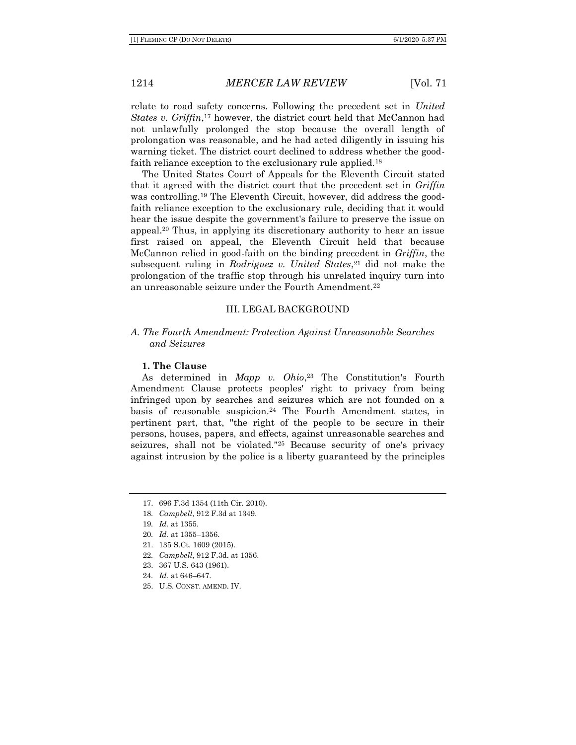relate to road safety concerns. Following the precedent set in *United States v. Griffin*, <sup>17</sup> however, the district court held that McCannon had not unlawfully prolonged the stop because the overall length of prolongation was reasonable, and he had acted diligently in issuing his warning ticket. The district court declined to address whether the goodfaith reliance exception to the exclusionary rule applied.<sup>18</sup>

The United States Court of Appeals for the Eleventh Circuit stated that it agreed with the district court that the precedent set in *Griffin* was controlling.<sup>19</sup> The Eleventh Circuit, however, did address the goodfaith reliance exception to the exclusionary rule, deciding that it would hear the issue despite the government's failure to preserve the issue on appeal.<sup>20</sup> Thus, in applying its discretionary authority to hear an issue first raised on appeal, the Eleventh Circuit held that because McCannon relied in good-faith on the binding precedent in *Griffin*, the subsequent ruling in *Rodriguez v. United States*, <sup>21</sup> did not make the prolongation of the traffic stop through his unrelated inquiry turn into an unreasonable seizure under the Fourth Amendment.<sup>22</sup>

#### III. LEGAL BACKGROUND

#### *A. The Fourth Amendment: Protection Against Unreasonable Searches and Seizures*

#### **1. The Clause**

As determined in *Mapp v. Ohio*, <sup>23</sup> The Constitution's Fourth Amendment Clause protects peoples' right to privacy from being infringed upon by searches and seizures which are not founded on a basis of reasonable suspicion.<sup>24</sup> The Fourth Amendment states, in pertinent part, that, "the right of the people to be secure in their persons, houses, papers, and effects, against unreasonable searches and seizures, shall not be violated."<sup>25</sup> Because security of one's privacy against intrusion by the police is a liberty guaranteed by the principles

- 23. 367 U.S. 643 (1961).
- 24*. Id.* at 646–647.
- 25. U.S. CONST. AMEND. IV.

<sup>17.</sup> 696 F.3d 1354 (11th Cir. 2010).

<sup>18</sup>*. Campbell*, 912 F.3d at 1349.

<sup>19</sup>*. Id.* at 1355.

<sup>20</sup>*. Id.* at 1355–1356.

<sup>21.</sup> 135 S.Ct. 1609 (2015).

<sup>22</sup>*. Campbell*, 912 F.3d. at 1356.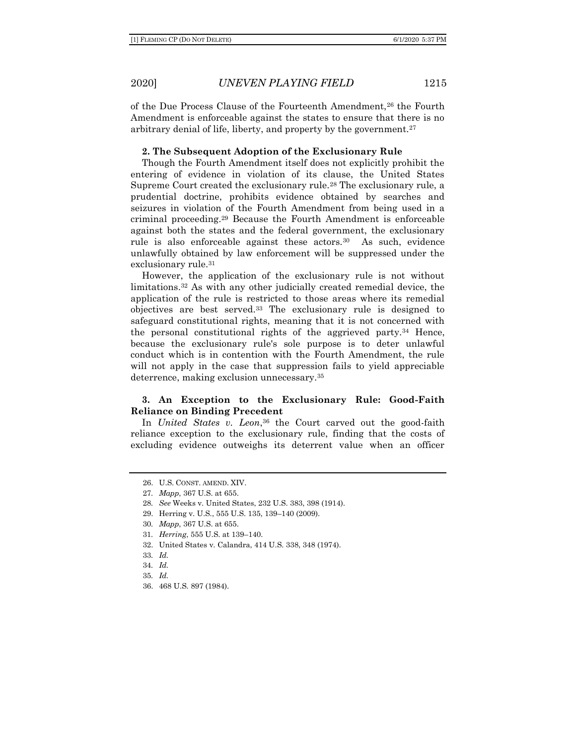of the Due Process Clause of the Fourteenth Amendment,<sup>26</sup> the Fourth Amendment is enforceable against the states to ensure that there is no arbitrary denial of life, liberty, and property by the government.<sup>27</sup>

#### **2. The Subsequent Adoption of the Exclusionary Rule**

Though the Fourth Amendment itself does not explicitly prohibit the entering of evidence in violation of its clause, the United States Supreme Court created the exclusionary rule.<sup>28</sup> The exclusionary rule, a prudential doctrine, prohibits evidence obtained by searches and seizures in violation of the Fourth Amendment from being used in a criminal proceeding.<sup>29</sup> Because the Fourth Amendment is enforceable against both the states and the federal government, the exclusionary rule is also enforceable against these actors.<sup>30</sup> As such, evidence unlawfully obtained by law enforcement will be suppressed under the exclusionary rule.<sup>31</sup>

However, the application of the exclusionary rule is not without limitations.<sup>32</sup> As with any other judicially created remedial device, the application of the rule is restricted to those areas where its remedial objectives are best served.<sup>33</sup> The exclusionary rule is designed to safeguard constitutional rights, meaning that it is not concerned with the personal constitutional rights of the aggrieved party.<sup>34</sup> Hence, because the exclusionary rule's sole purpose is to deter unlawful conduct which is in contention with the Fourth Amendment, the rule will not apply in the case that suppression fails to yield appreciable deterrence, making exclusion unnecessary.<sup>35</sup>

# **3. An Exception to the Exclusionary Rule: Good-Faith Reliance on Binding Precedent**

In *United States v. Leon*, <sup>36</sup> the Court carved out the good-faith reliance exception to the exclusionary rule, finding that the costs of excluding evidence outweighs its deterrent value when an officer

<sup>26.</sup> U.S. CONST. AMEND. XIV.

<sup>27</sup>*. Mapp*, 367 U.S. at 655.

<sup>28</sup>*. See* Weeks v. United States, 232 U.S. 383, 398 (1914).

<sup>29.</sup> Herring v. U.S., 555 U.S. 135, 139–140 (2009).

<sup>30</sup>*. Mapp*, 367 U.S. at 655.

<sup>31</sup>*. Herring*, 555 U.S. at 139–140.

<sup>32.</sup> United States v. Calandra, 414 U.S. 338, 348 (1974).

<sup>33</sup>*. Id.*

<sup>34</sup>*. Id.* 

<sup>35</sup>*. Id.*

<sup>36.</sup> 468 U.S. 897 (1984).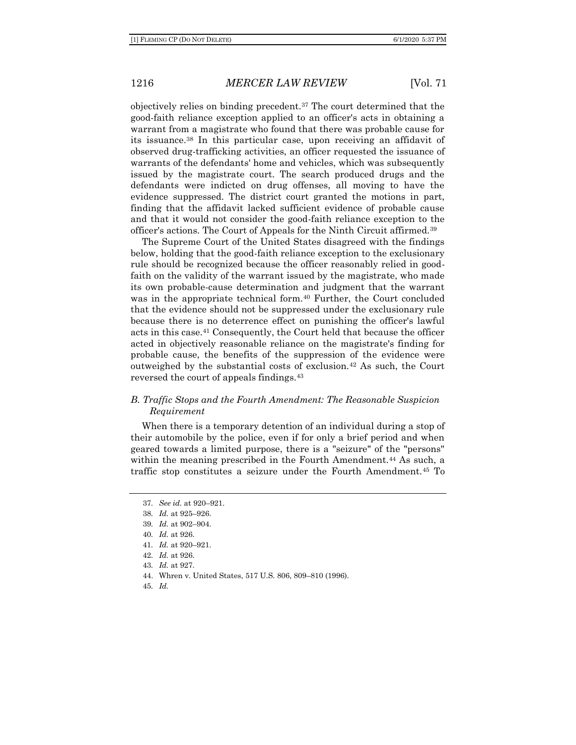objectively relies on binding precedent.<sup>37</sup> The court determined that the good-faith reliance exception applied to an officer's acts in obtaining a warrant from a magistrate who found that there was probable cause for its issuance.<sup>38</sup> In this particular case, upon receiving an affidavit of observed drug-trafficking activities, an officer requested the issuance of warrants of the defendants' home and vehicles, which was subsequently issued by the magistrate court. The search produced drugs and the defendants were indicted on drug offenses, all moving to have the evidence suppressed. The district court granted the motions in part, finding that the affidavit lacked sufficient evidence of probable cause and that it would not consider the good-faith reliance exception to the officer's actions. The Court of Appeals for the Ninth Circuit affirmed.<sup>39</sup>

The Supreme Court of the United States disagreed with the findings below, holding that the good-faith reliance exception to the exclusionary rule should be recognized because the officer reasonably relied in goodfaith on the validity of the warrant issued by the magistrate, who made its own probable-cause determination and judgment that the warrant was in the appropriate technical form.<sup>40</sup> Further, the Court concluded that the evidence should not be suppressed under the exclusionary rule because there is no deterrence effect on punishing the officer's lawful acts in this case.<sup>41</sup> Consequently, the Court held that because the officer acted in objectively reasonable reliance on the magistrate's finding for probable cause, the benefits of the suppression of the evidence were outweighed by the substantial costs of exclusion.<sup>42</sup> As such, the Court reversed the court of appeals findings.<sup>43</sup>

# *B. Traffic Stops and the Fourth Amendment: The Reasonable Suspicion Requirement*

When there is a temporary detention of an individual during a stop of their automobile by the police, even if for only a brief period and when geared towards a limited purpose, there is a "seizure" of the "persons" within the meaning prescribed in the Fourth Amendment.<sup>44</sup> As such, a traffic stop constitutes a seizure under the Fourth Amendment.<sup>45</sup> To

45*. Id.*

<sup>37</sup>*. See id.* at 920–921.

<sup>38</sup>*. Id.* at 925–926.

<sup>39</sup>*. Id.* at 902–904.

<sup>40</sup>*. Id.* at 926.

<sup>41</sup>*. Id.* at 920–921.

<sup>42</sup>*. Id.* at 926.

<sup>43</sup>*. Id.* at 927.

<sup>44.</sup> Whren v. United States, 517 U.S. 806, 809–810 (1996).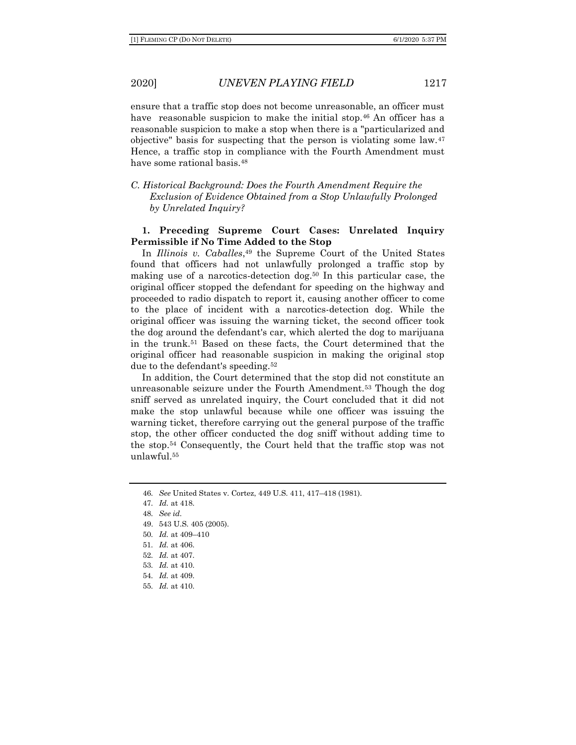ensure that a traffic stop does not become unreasonable, an officer must have reasonable suspicion to make the initial stop.<sup>46</sup> An officer has a reasonable suspicion to make a stop when there is a "particularized and objective" basis for suspecting that the person is violating some law.<sup>47</sup> Hence, a traffic stop in compliance with the Fourth Amendment must have some rational basis.<sup>48</sup>

# *C. Historical Background: Does the Fourth Amendment Require the Exclusion of Evidence Obtained from a Stop Unlawfully Prolonged by Unrelated Inquiry?*

# **1. Preceding Supreme Court Cases: Unrelated Inquiry Permissible if No Time Added to the Stop**

In *Illinois v. Caballes*, <sup>49</sup> the Supreme Court of the United States found that officers had not unlawfully prolonged a traffic stop by making use of a narcotics-detection dog.<sup>50</sup> In this particular case, the original officer stopped the defendant for speeding on the highway and proceeded to radio dispatch to report it, causing another officer to come to the place of incident with a narcotics-detection dog. While the original officer was issuing the warning ticket, the second officer took the dog around the defendant's car, which alerted the dog to marijuana in the trunk.<sup>51</sup> Based on these facts, the Court determined that the original officer had reasonable suspicion in making the original stop due to the defendant's speeding.<sup>52</sup>

In addition, the Court determined that the stop did not constitute an unreasonable seizure under the Fourth Amendment.<sup>53</sup> Though the dog sniff served as unrelated inquiry, the Court concluded that it did not make the stop unlawful because while one officer was issuing the warning ticket, therefore carrying out the general purpose of the traffic stop, the other officer conducted the dog sniff without adding time to the stop.<sup>54</sup> Consequently, the Court held that the traffic stop was not unlawful.<sup>55</sup>

- 53*. Id.* at 410.
- 54*. Id.* at 409.
- 55*. Id.* at 410.

<sup>46</sup>*. See* United States v. Cortez, 449 U.S. 411, 417–418 (1981).

<sup>47</sup>*. Id.* at 418.

<sup>48</sup>*. See id.*

<sup>49.</sup> 543 U.S. 405 (2005).

<sup>50</sup>*. Id.* at 409–410

<sup>51</sup>*. Id.* at 406.

<sup>52</sup>*. Id.* at 407.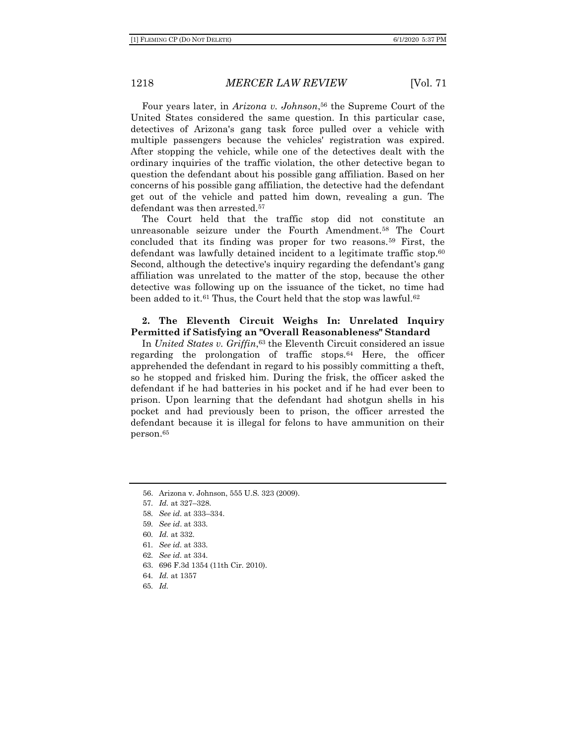Four years later, in *Arizona v. Johnson*, <sup>56</sup> the Supreme Court of the United States considered the same question. In this particular case, detectives of Arizona's gang task force pulled over a vehicle with multiple passengers because the vehicles' registration was expired. After stopping the vehicle, while one of the detectives dealt with the ordinary inquiries of the traffic violation, the other detective began to question the defendant about his possible gang affiliation. Based on her concerns of his possible gang affiliation, the detective had the defendant get out of the vehicle and patted him down, revealing a gun. The defendant was then arrested.<sup>57</sup>

The Court held that the traffic stop did not constitute an unreasonable seizure under the Fourth Amendment.<sup>58</sup> The Court concluded that its finding was proper for two reasons.<sup>59</sup> First, the defendant was lawfully detained incident to a legitimate traffic stop.<sup>60</sup> Second, although the detective's inquiry regarding the defendant's gang affiliation was unrelated to the matter of the stop, because the other detective was following up on the issuance of the ticket, no time had been added to it. $61$  Thus, the Court held that the stop was lawful. $62$ 

#### **2. The Eleventh Circuit Weighs In: Unrelated Inquiry Permitted if Satisfying an "Overall Reasonableness" Standard**

In *United States v. Griffin*, <sup>63</sup> the Eleventh Circuit considered an issue regarding the prolongation of traffic stops.<sup>64</sup> Here, the officer apprehended the defendant in regard to his possibly committing a theft, so he stopped and frisked him. During the frisk, the officer asked the defendant if he had batteries in his pocket and if he had ever been to prison. Upon learning that the defendant had shotgun shells in his pocket and had previously been to prison, the officer arrested the defendant because it is illegal for felons to have ammunition on their person.<sup>65</sup>

63. 696 F.3d 1354 (11th Cir. 2010).

65*. Id.*

<sup>56.</sup> Arizona v. Johnson, 555 U.S. 323 (2009).

<sup>57</sup>*. Id.* at 327–328.

<sup>58</sup>*. See id.* at 333–334.

<sup>59</sup>*. See id*. at 333.

<sup>60</sup>*. Id.* at 332.

<sup>61</sup>*. See id.* at 333.

<sup>62</sup>*. See id.* at 334.

<sup>64</sup>*. Id.* at 1357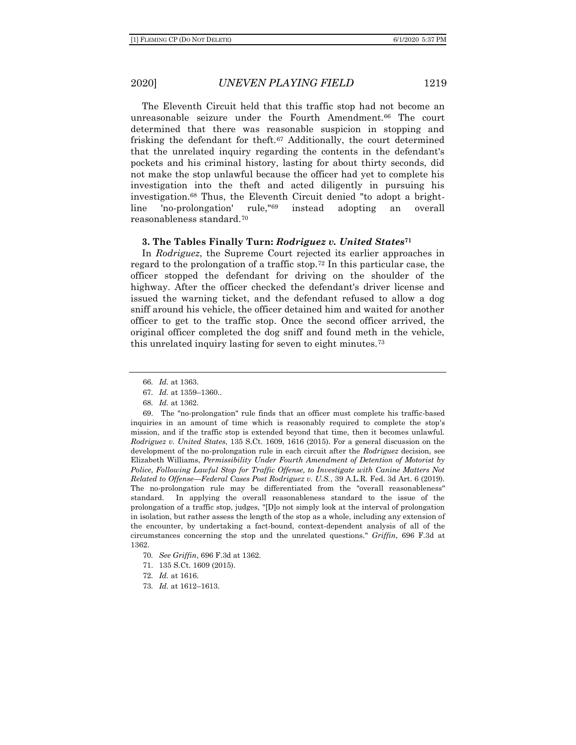The Eleventh Circuit held that this traffic stop had not become an unreasonable seizure under the Fourth Amendment.<sup>66</sup> The court determined that there was reasonable suspicion in stopping and frisking the defendant for theft.<sup>67</sup> Additionally, the court determined that the unrelated inquiry regarding the contents in the defendant's pockets and his criminal history, lasting for about thirty seconds, did not make the stop unlawful because the officer had yet to complete his investigation into the theft and acted diligently in pursuing his investigation.<sup>68</sup> Thus, the Eleventh Circuit denied "to adopt a brightline 'no-prolongation' rule,"<sup>69</sup> instead adopting an overall reasonableness standard.<sup>70</sup>

#### **3. The Tables Finally Turn:** *Rodriguez v. United States***<sup>71</sup>**

In *Rodriguez*, the Supreme Court rejected its earlier approaches in regard to the prolongation of a traffic stop.<sup>72</sup> In this particular case, the officer stopped the defendant for driving on the shoulder of the highway. After the officer checked the defendant's driver license and issued the warning ticket, and the defendant refused to allow a dog sniff around his vehicle, the officer detained him and waited for another officer to get to the traffic stop. Once the second officer arrived, the original officer completed the dog sniff and found meth in the vehicle, this unrelated inquiry lasting for seven to eight minutes.<sup>73</sup>

71. 135 S.Ct. 1609 (2015).

<sup>66</sup>*. Id.* at 1363.

<sup>67</sup>*. Id.* at 1359–1360..

<sup>68</sup>*. Id.* at 1362.

<sup>69.</sup> The "no-prolongation" rule finds that an officer must complete his traffic-based inquiries in an amount of time which is reasonably required to complete the stop's mission, and if the traffic stop is extended beyond that time, then it becomes unlawful. *Rodriguez v. United States*, 135 S.Ct. 1609, 1616 (2015). For a general discussion on the development of the no-prolongation rule in each circuit after the *Rodriguez* decision, see Elizabeth Williams, *Permissibility Under Fourth Amendment of Detention of Motorist by Police, Following Lawful Stop for Traffic Offense, to Investigate with Canine Matters Not Related to Offense—Federal Cases Post Rodriguez v. U.S.*, 39 A.L.R. Fed. 3d Art. 6 (2019). The no-prolongation rule may be differentiated from the "overall reasonableness" standard. In applying the overall reasonableness standard to the issue of the prolongation of a traffic stop, judges, "[D]o not simply look at the interval of prolongation in isolation, but rather assess the length of the stop as a whole, including any extension of the encounter, by undertaking a fact-bound, context-dependent analysis of all of the circumstances concerning the stop and the unrelated questions." *Griffin*, 696 F.3d at 1362.

<sup>70</sup>*. See Griffin*, 696 F.3d at 1362.

<sup>72</sup>*. Id.* at 1616.

<sup>73</sup>*. Id.* at 1612–1613.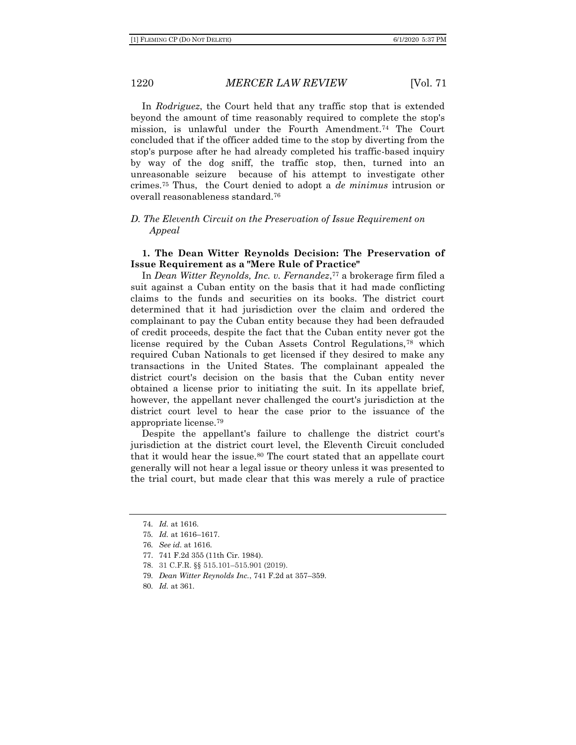In *Rodriguez*, the Court held that any traffic stop that is extended beyond the amount of time reasonably required to complete the stop's mission, is unlawful under the Fourth Amendment.<sup>74</sup> The Court concluded that if the officer added time to the stop by diverting from the stop's purpose after he had already completed his traffic-based inquiry by way of the dog sniff, the traffic stop, then, turned into an unreasonable seizure because of his attempt to investigate other crimes.<sup>75</sup> Thus, the Court denied to adopt a *de minimus* intrusion or overall reasonableness standard.<sup>76</sup>

# *D. The Eleventh Circuit on the Preservation of Issue Requirement on Appeal*

## **1. The Dean Witter Reynolds Decision: The Preservation of Issue Requirement as a "Mere Rule of Practice"**

In *Dean Witter Reynolds, Inc. v. Fernandez*, <sup>77</sup> a brokerage firm filed a suit against a Cuban entity on the basis that it had made conflicting claims to the funds and securities on its books. The district court determined that it had jurisdiction over the claim and ordered the complainant to pay the Cuban entity because they had been defrauded of credit proceeds, despite the fact that the Cuban entity never got the license required by the Cuban Assets Control Regulations,<sup>78</sup> which required Cuban Nationals to get licensed if they desired to make any transactions in the United States. The complainant appealed the district court's decision on the basis that the Cuban entity never obtained a license prior to initiating the suit. In its appellate brief, however, the appellant never challenged the court's jurisdiction at the district court level to hear the case prior to the issuance of the appropriate license.<sup>79</sup>

Despite the appellant's failure to challenge the district court's jurisdiction at the district court level, the Eleventh Circuit concluded that it would hear the issue.<sup>80</sup> The court stated that an appellate court generally will not hear a legal issue or theory unless it was presented to the trial court, but made clear that this was merely a rule of practice

- 77. 741 F.2d 355 (11th Cir. 1984).
- 78. 31 C.F.R. §§ 515.101–515.901 (2019).
- 79*. Dean Witter Reynolds Inc.*, 741 F.2d at 357–359.
- 80*. Id.* at 361.

<sup>74</sup>*. Id.* at 1616.

<sup>75</sup>*. Id.* at 1616–1617.

<sup>76</sup>*. See id.* at 1616.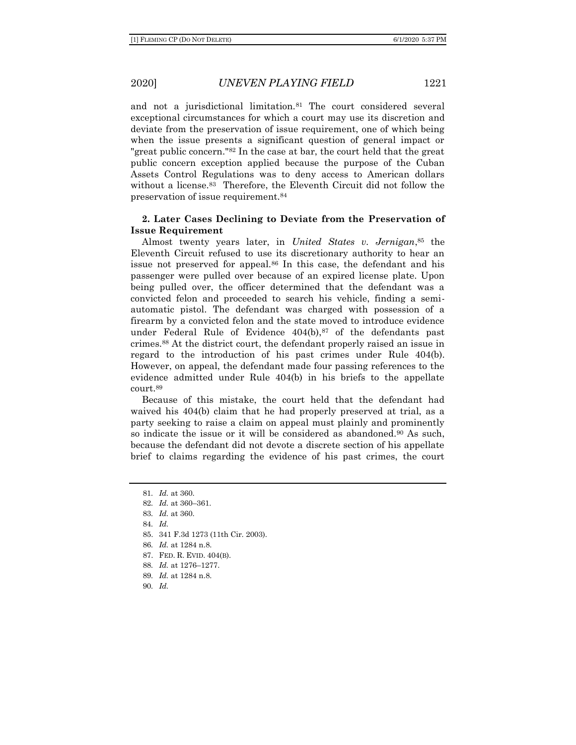and not a jurisdictional limitation.<sup>81</sup> The court considered several exceptional circumstances for which a court may use its discretion and deviate from the preservation of issue requirement, one of which being when the issue presents a significant question of general impact or "great public concern."<sup>82</sup> In the case at bar, the court held that the great public concern exception applied because the purpose of the Cuban Assets Control Regulations was to deny access to American dollars without a license.<sup>83</sup> Therefore, the Eleventh Circuit did not follow the preservation of issue requirement.<sup>84</sup>

#### **2. Later Cases Declining to Deviate from the Preservation of Issue Requirement**

Almost twenty years later, in *United States v. Jernigan*, <sup>85</sup> the Eleventh Circuit refused to use its discretionary authority to hear an issue not preserved for appeal.<sup>86</sup> In this case, the defendant and his passenger were pulled over because of an expired license plate. Upon being pulled over, the officer determined that the defendant was a convicted felon and proceeded to search his vehicle, finding a semiautomatic pistol. The defendant was charged with possession of a firearm by a convicted felon and the state moved to introduce evidence under Federal Rule of Evidence  $404(b)$ ,  $87$  of the defendants past crimes.<sup>88</sup> At the district court, the defendant properly raised an issue in regard to the introduction of his past crimes under Rule 404(b). However, on appeal, the defendant made four passing references to the evidence admitted under Rule 404(b) in his briefs to the appellate court.<sup>89</sup>

Because of this mistake, the court held that the defendant had waived his 404(b) claim that he had properly preserved at trial, as a party seeking to raise a claim on appeal must plainly and prominently so indicate the issue or it will be considered as abandoned.<sup>90</sup> As such, because the defendant did not devote a discrete section of his appellate brief to claims regarding the evidence of his past crimes, the court

<sup>81</sup>*. Id.* at 360. 82*. Id.* at 360–361. 83*. Id.* at 360. 84*. Id.* 85. 341 F.3d 1273 (11th Cir. 2003). 86*. Id.* at 1284 n.8. 87. FED. R. EVID. 404(B). 88*. Id.* at 1276–1277. 89*. Id.* at 1284 n.8. 90*. Id.*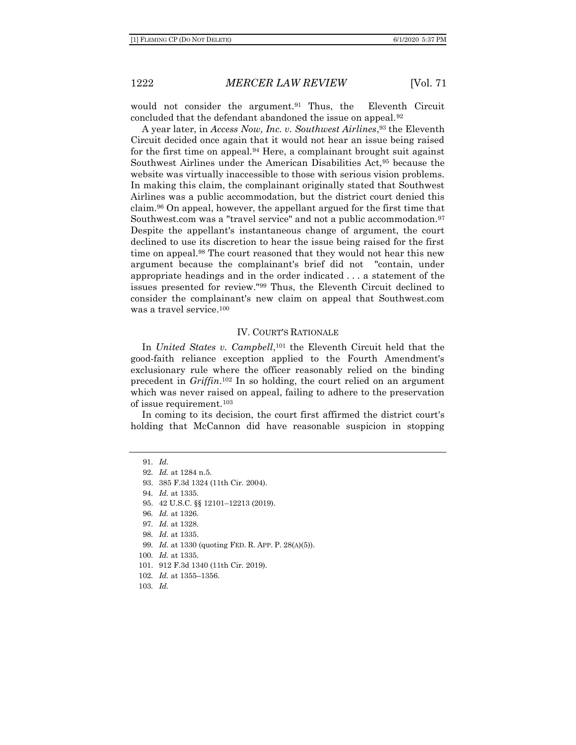would not consider the argument.<sup>91</sup> Thus, the Eleventh Circuit concluded that the defendant abandoned the issue on appeal.<sup>92</sup>

A year later, in *Access Now, Inc. v. Southwest Airlines*, <sup>93</sup> the Eleventh Circuit decided once again that it would not hear an issue being raised for the first time on appeal.<sup>94</sup> Here, a complainant brought suit against Southwest Airlines under the American Disabilities Act,<sup>95</sup> because the website was virtually inaccessible to those with serious vision problems. In making this claim, the complainant originally stated that Southwest Airlines was a public accommodation, but the district court denied this claim.<sup>96</sup> On appeal, however, the appellant argued for the first time that Southwest.com was a "travel service" and not a public accommodation.<sup>97</sup> Despite the appellant's instantaneous change of argument, the court declined to use its discretion to hear the issue being raised for the first time on appeal.<sup>98</sup> The court reasoned that they would not hear this new argument because the complainant's brief did not "contain, under appropriate headings and in the order indicated . . . a statement of the issues presented for review."<sup>99</sup> Thus, the Eleventh Circuit declined to consider the complainant's new claim on appeal that Southwest.com was a travel service.<sup>100</sup>

#### IV. COURT'S RATIONALE

In *United States v. Campbell*, <sup>101</sup> the Eleventh Circuit held that the good-faith reliance exception applied to the Fourth Amendment's exclusionary rule where the officer reasonably relied on the binding precedent in *Griffin*. <sup>102</sup> In so holding, the court relied on an argument which was never raised on appeal, failing to adhere to the preservation of issue requirement.<sup>103</sup>

In coming to its decision, the court first affirmed the district court's holding that McCannon did have reasonable suspicion in stopping

91*. Id. . Id.* at 1284 n.5. 93. 385 F.3d 1324 (11th Cir. 2004). *. Id.* at 1335. 95. 42 U.S.C. §§ 12101–12213 (2019). *. Id.* at 1326. *. Id.* at 1328. *. Id.* at 1335. *. Id.* at 1330 (quoting FED. R. APP. P. 28(A)(5)). *. Id.* at 1335. 101. 912 F.3d 1340 (11th Cir. 2019). *. Id.* at 1355–1356. 103*. Id.*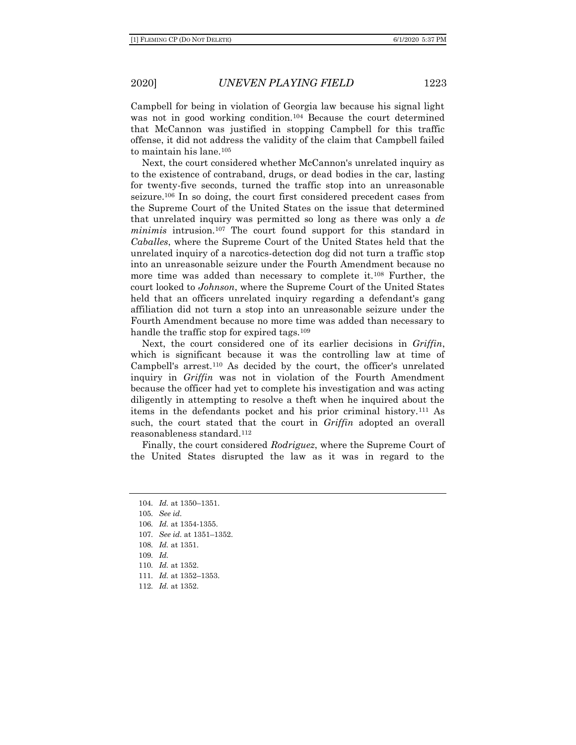Campbell for being in violation of Georgia law because his signal light was not in good working condition.<sup>104</sup> Because the court determined that McCannon was justified in stopping Campbell for this traffic offense, it did not address the validity of the claim that Campbell failed to maintain his lane.<sup>105</sup>

Next, the court considered whether McCannon's unrelated inquiry as to the existence of contraband, drugs, or dead bodies in the car, lasting for twenty-five seconds, turned the traffic stop into an unreasonable seizure.<sup>106</sup> In so doing, the court first considered precedent cases from the Supreme Court of the United States on the issue that determined that unrelated inquiry was permitted so long as there was only a *de minimis* intrusion.<sup>107</sup> The court found support for this standard in *Caballes*, where the Supreme Court of the United States held that the unrelated inquiry of a narcotics-detection dog did not turn a traffic stop into an unreasonable seizure under the Fourth Amendment because no more time was added than necessary to complete it.<sup>108</sup> Further, the court looked to *Johnson*, where the Supreme Court of the United States held that an officers unrelated inquiry regarding a defendant's gang affiliation did not turn a stop into an unreasonable seizure under the Fourth Amendment because no more time was added than necessary to handle the traffic stop for expired tags.<sup>109</sup>

Next, the court considered one of its earlier decisions in *Griffin*, which is significant because it was the controlling law at time of Campbell's arrest.<sup>110</sup> As decided by the court, the officer's unrelated inquiry in *Griffin* was not in violation of the Fourth Amendment because the officer had yet to complete his investigation and was acting diligently in attempting to resolve a theft when he inquired about the items in the defendants pocket and his prior criminal history.<sup>111</sup> As such, the court stated that the court in *Griffin* adopted an overall reasonableness standard.<sup>112</sup>

Finally, the court considered *Rodriguez*, where the Supreme Court of the United States disrupted the law as it was in regard to the

112*. Id.* at 1352.

<sup>104</sup>*. Id.* at 1350–1351.

<sup>105</sup>*. See id.* 

<sup>106</sup>*. Id.* at 1354-1355.

<sup>107</sup>*. See id.* at 1351–1352.

<sup>108</sup>*. Id.* at 1351.

<sup>109</sup>*. Id.*

<sup>110</sup>*. Id.* at 1352.

<sup>111</sup>*. Id.* at 1352–1353.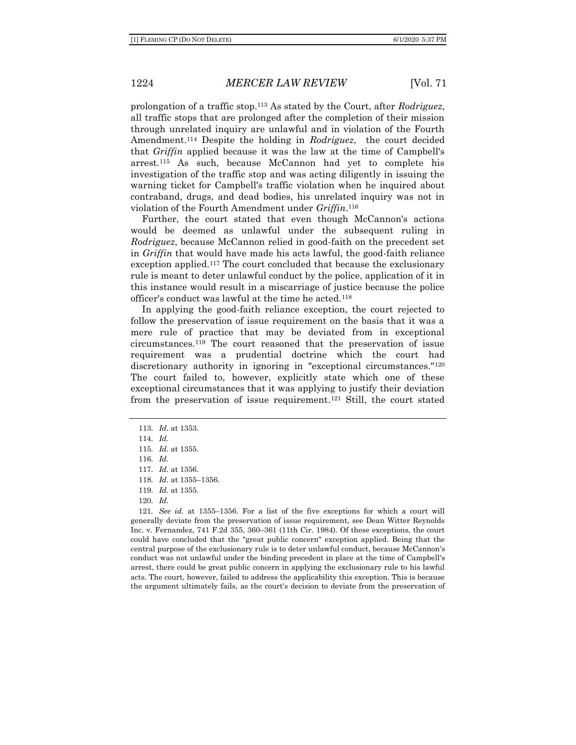prolongation of a traffic stop.<sup>113</sup> As stated by the Court, after *Rodriguez*, all traffic stops that are prolonged after the completion of their mission through unrelated inquiry are unlawful and in violation of the Fourth Amendment.<sup>114</sup> Despite the holding in *Rodriguez*, the court decided that *Griffin* applied because it was the law at the time of Campbell's arrest.<sup>115</sup> As such, because McCannon had yet to complete his investigation of the traffic stop and was acting diligently in issuing the warning ticket for Campbell's traffic violation when he inquired about contraband, drugs, and dead bodies, his unrelated inquiry was not in violation of the Fourth Amendment under *Griffin*. 116

Further, the court stated that even though McCannon's actions would be deemed as unlawful under the subsequent ruling in *Rodriguez*, because McCannon relied in good-faith on the precedent set in *Griffin* that would have made his acts lawful, the good-faith reliance exception applied.<sup>117</sup> The court concluded that because the exclusionary rule is meant to deter unlawful conduct by the police, application of it in this instance would result in a miscarriage of justice because the police officer's conduct was lawful at the time he acted.<sup>118</sup>

In applying the good-faith reliance exception, the court rejected to follow the preservation of issue requirement on the basis that it was a mere rule of practice that may be deviated from in exceptional circumstances.<sup>119</sup> The court reasoned that the preservation of issue requirement was a prudential doctrine which the court had discretionary authority in ignoring in "exceptional circumstances."<sup>120</sup> The court failed to, however, explicitly state which one of these exceptional circumstances that it was applying to justify their deviation from the preservation of issue requirement. <sup>121</sup> Still, the court stated

116*. Id.*

- 118*. Id.* at 1355–1356.
- 119*. Id.* at 1355.
- 120*. Id.*

121*. See id.* at 1355–1356. For a list of the five exceptions for which a court will generally deviate from the preservation of issue requirement, see Dean Witter Reynolds Inc. v. Fernandez, 741 F.2d 355, 360–361 (11th Cir. 1984). Of these exceptions, the court could have concluded that the "great public concern" exception applied. Being that the central purpose of the exclusionary rule is to deter unlawful conduct, because McCannon's conduct was not unlawful under the binding precedent in place at the time of Campbell's arrest, there could be great public concern in applying the exclusionary rule to his lawful acts. The court, however, failed to address the applicability this exception. This is because the argument ultimately fails, as the court's decision to deviate from the preservation of

<sup>113</sup>*. Id.* at 1353.

<sup>114</sup>*. Id.* 

<sup>115</sup>*. Id.* at 1355.

<sup>117</sup>*. Id.* at 1356.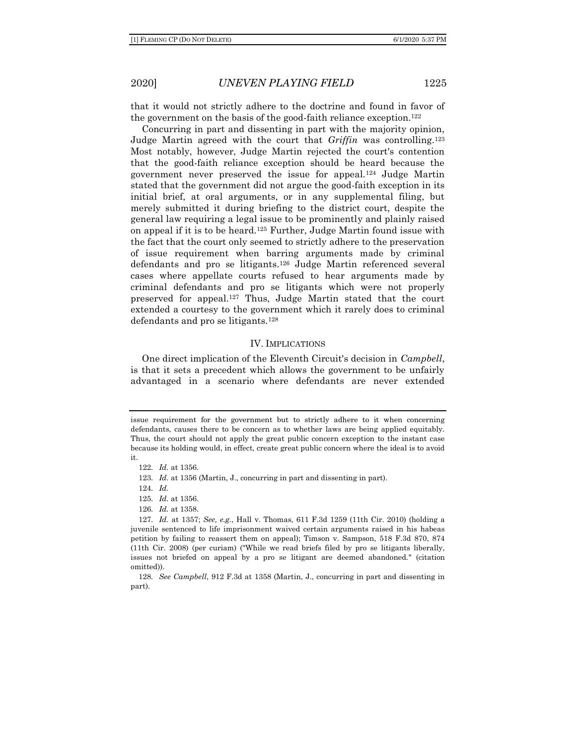that it would not strictly adhere to the doctrine and found in favor of the government on the basis of the good-faith reliance exception.<sup>122</sup>

Concurring in part and dissenting in part with the majority opinion, Judge Martin agreed with the court that *Griffin* was controlling.<sup>123</sup> Most notably, however, Judge Martin rejected the court's contention that the good-faith reliance exception should be heard because the government never preserved the issue for appeal.<sup>124</sup> Judge Martin stated that the government did not argue the good-faith exception in its initial brief, at oral arguments, or in any supplemental filing, but merely submitted it during briefing to the district court, despite the general law requiring a legal issue to be prominently and plainly raised on appeal if it is to be heard.<sup>125</sup> Further, Judge Martin found issue with the fact that the court only seemed to strictly adhere to the preservation of issue requirement when barring arguments made by criminal defendants and pro se litigants.<sup>126</sup> Judge Martin referenced several cases where appellate courts refused to hear arguments made by criminal defendants and pro se litigants which were not properly preserved for appeal.<sup>127</sup> Thus, Judge Martin stated that the court extended a courtesy to the government which it rarely does to criminal defendants and pro se litigants.<sup>128</sup>

#### IV. IMPLICATIONS

One direct implication of the Eleventh Circuit's decision in *Campbell*, is that it sets a precedent which allows the government to be unfairly advantaged in a scenario where defendants are never extended

124*. Id.*

126*. Id.* at 1358.

issue requirement for the government but to strictly adhere to it when concerning defendants, causes there to be concern as to whether laws are being applied equitably. Thus, the court should not apply the great public concern exception to the instant case because its holding would, in effect, create great public concern where the ideal is to avoid it.

<sup>122</sup>*. Id.* at 1356.

<sup>123</sup>*. Id.* at 1356 (Martin, J., concurring in part and dissenting in part).

<sup>125</sup>*. Id.* at 1356.

<sup>127</sup>*. Id.* at 1357; *See, e.g.*, Hall v. Thomas, 611 F.3d 1259 (11th Cir. 2010) (holding a juvenile sentenced to life imprisonment waived certain arguments raised in his habeas petition by failing to reassert them on appeal); Timson v. Sampson, 518 F.3d 870, 874 (11th Cir. 2008) (per curiam) ("While we read briefs filed by pro se litigants liberally, issues not briefed on appeal by a pro se litigant are deemed abandoned." (citation omitted)).

<sup>128</sup>*. See Campbell*, 912 F.3d at 1358 (Martin, J., concurring in part and dissenting in part).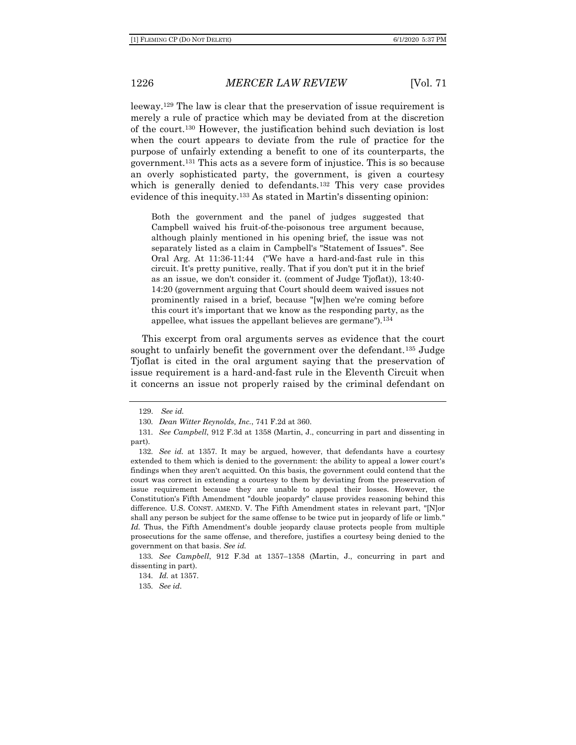leeway.<sup>129</sup> The law is clear that the preservation of issue requirement is merely a rule of practice which may be deviated from at the discretion of the court.<sup>130</sup> However, the justification behind such deviation is lost when the court appears to deviate from the rule of practice for the purpose of unfairly extending a benefit to one of its counterparts, the government.<sup>131</sup> This acts as a severe form of injustice. This is so because an overly sophisticated party, the government, is given a courtesy which is generally denied to defendants.<sup>132</sup> This very case provides evidence of this inequity.<sup>133</sup> As stated in Martin's dissenting opinion:

Both the government and the panel of judges suggested that Campbell waived his fruit-of-the-poisonous tree argument because, although plainly mentioned in his opening brief, the issue was not separately listed as a claim in Campbell's "Statement of Issues". See Oral Arg. At 11:36-11:44 ("We have a hard-and-fast rule in this circuit. It's pretty punitive, really. That if you don't put it in the brief as an issue, we don't consider it. (comment of Judge Tjoflat)), 13:40- 14:20 (government arguing that Court should deem waived issues not prominently raised in a brief, because "[w]hen we're coming before this court it's important that we know as the responding party, as the appellee, what issues the appellant believes are germane").<sup>134</sup>

This excerpt from oral arguments serves as evidence that the court sought to unfairly benefit the government over the defendant.<sup>135</sup> Judge Tjoflat is cited in the oral argument saying that the preservation of issue requirement is a hard-and-fast rule in the Eleventh Circuit when it concerns an issue not properly raised by the criminal defendant on

134*. Id.* at 1357.

135*. See id.*

<sup>129.</sup> *See id.*

<sup>130</sup>*. Dean Witter Reynolds, Inc.*, 741 F.2d at 360.

<sup>131</sup>*. See Campbell*, 912 F.3d at 1358 (Martin, J., concurring in part and dissenting in part).

<sup>132</sup>*. See id.* at 1357. It may be argued, however, that defendants have a courtesy extended to them which is denied to the government: the ability to appeal a lower court's findings when they aren't acquitted. On this basis, the government could contend that the court was correct in extending a courtesy to them by deviating from the preservation of issue requirement because they are unable to appeal their losses. However, the Constitution's Fifth Amendment "double jeopardy" clause provides reasoning behind this difference. U.S. CONST. AMEND. V. The Fifth Amendment states in relevant part, "[N]or shall any person be subject for the same offense to be twice put in jeopardy of life or limb." *Id.* Thus, the Fifth Amendment's double jeopardy clause protects people from multiple prosecutions for the same offense, and therefore, justifies a courtesy being denied to the government on that basis. *See id.*

<sup>133</sup>*. See Campbell*, 912 F.3d at 1357–1358 (Martin, J., concurring in part and dissenting in part).